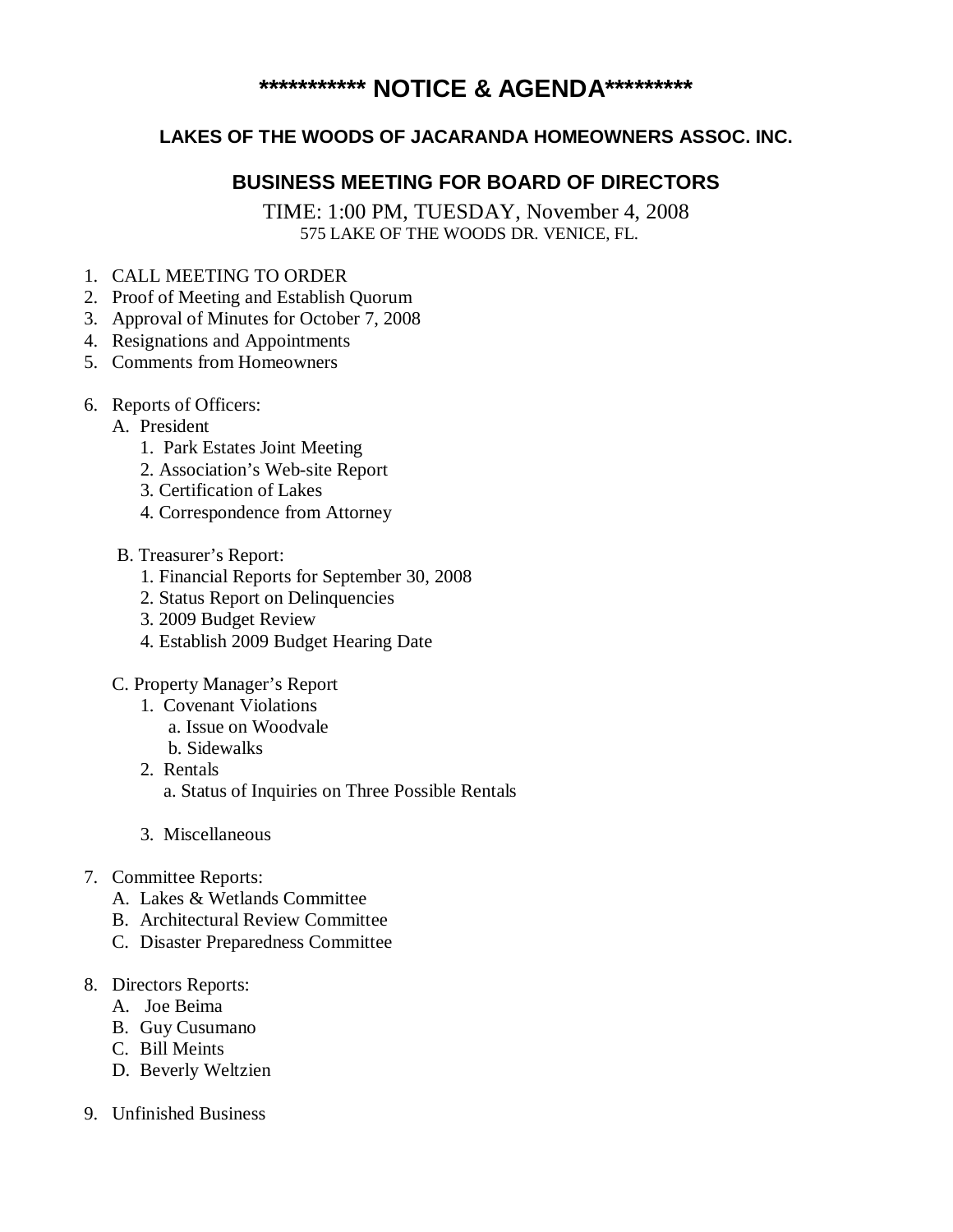# **\*\*\*\*\*\*\*\*\*\*\* NOTICE & AGENDA\*\*\*\*\*\*\*\*\***

## **LAKES OF THE WOODS OF JACARANDA HOMEOWNERS ASSOC. INC.**

# **BUSINESS MEETING FOR BOARD OF DIRECTORS**

TIME: 1:00 PM, TUESDAY, November 4, 2008 575 LAKE OF THE WOODS DR. VENICE, FL.

- 1. CALL MEETING TO ORDER
- 2. Proof of Meeting and Establish Quorum
- 3. Approval of Minutes for October 7, 2008
- 4. Resignations and Appointments
- 5. Comments from Homeowners
- 6. Reports of Officers:
	- A. President
		- 1. Park Estates Joint Meeting
		- 2. Association's Web-site Report
		- 3. Certification of Lakes
		- 4. Correspondence from Attorney
	- B. Treasurer's Report:
		- 1. Financial Reports for September 30, 2008
		- 2. Status Report on Delinquencies
		- 3. 2009 Budget Review
		- 4. Establish 2009 Budget Hearing Date
	- C. Property Manager's Report
		- 1. Covenant Violations
			- a. Issue on Woodvale
			- b. Sidewalks
		- 2. Rentals a. Status of Inquiries on Three Possible Rentals
		- 3. Miscellaneous
- 7. Committee Reports:
	- A. Lakes & Wetlands Committee
	- B. Architectural Review Committee
	- C. Disaster Preparedness Committee
- 8. Directors Reports:
	- A. Joe Beima
	- B. Guy Cusumano
	- C. Bill Meints
	- D. Beverly Weltzien
- 9. Unfinished Business